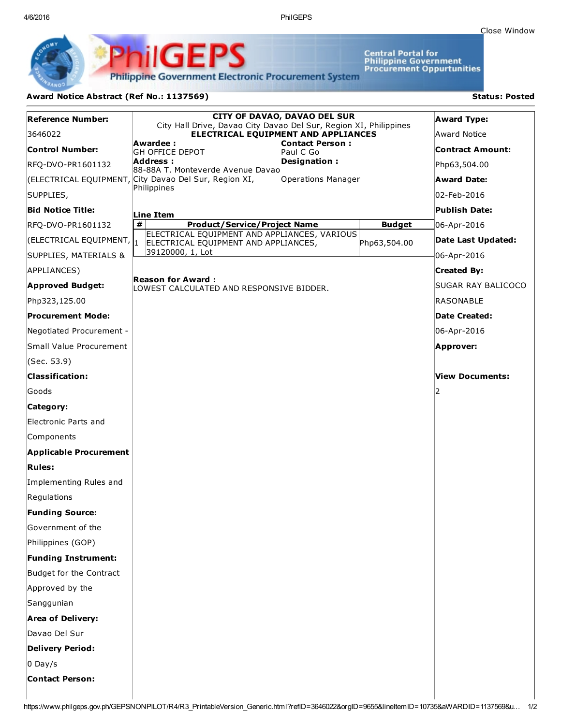4/6/2016 PhilGEPS

Central Portal for<br>Philippine Government<br>Procurement Oppurtunities

**Philippine Government Electronic Procurement System** 

PS

iliGEI

## Award Notice Abstract (Ref No.: 1137569) Status: Posted

Ph

| <b>Reference Number:</b>             | <b>CITY OF DAVAO, DAVAO DEL SUR</b><br>City Hall Drive, Davao City Davao Del Sur, Region XI, Philippines |               | <b>Award Type:</b> |
|--------------------------------------|----------------------------------------------------------------------------------------------------------|---------------|--------------------|
| 3646022                              | ELECTRICAL EQUIPMENT AND APPLIANCES                                                                      |               | Award Notice       |
| Control Number:                      | Awardee :<br><b>Contact Person:</b><br><b>GH OFFICE DEPOT</b><br>Paul C Go                               |               | Contract Amount:   |
| RFQ-DVO-PR1601132                    | Address:<br>Designation:<br>88-88A T. Monteverde Avenue Davao                                            |               | Php63,504.00       |
|                                      | (ELECTRICAL EQUIPMENT, City Davao Del Sur, Region XI,<br><b>Operations Manager</b>                       |               | Award Date:        |
| SUPPLIES,                            | Philippines                                                                                              |               | 02-Feb-2016        |
| <b>Bid Notice Title:</b>             | Line Item                                                                                                |               | Publish Date:      |
| RFQ-DVO-PR1601132                    | #<br><b>Product/Service/Project Name</b>                                                                 | <b>Budget</b> | 06-Apr-2016        |
| (ELECTRICAL EQUIPMENT, $\parallel_1$ | ELECTRICAL EQUIPMENT AND APPLIANCES, VARIOUS<br>ELECTRICAL EQUIPMENT AND APPLIANCES,                     | Php63,504.00  | Date Last Updated: |
| SUPPLIES, MATERIALS &                | 39120000, 1, Lot                                                                                         |               | 06-Apr-2016        |
| APPLIANCES)                          |                                                                                                          |               | <b>Created By:</b> |
| <b>Approved Budget:</b>              | Reason for Award :<br>LOWEST CALCULATED AND RESPONSIVE BIDDER.                                           |               | SUGAR RAY BALICOCO |
| Php323,125.00                        |                                                                                                          |               | RASONABLE          |
| Procurement Mode:                    |                                                                                                          |               | Date Created:      |
| Negotiated Procurement -             |                                                                                                          |               | 06-Apr-2016        |
| Small Value Procurement              |                                                                                                          |               | Approver:          |
| (Sec. 53.9)                          |                                                                                                          |               |                    |
| <b>Classification:</b>               |                                                                                                          |               | View Documents:    |
| Goods                                |                                                                                                          |               |                    |
| Category:                            |                                                                                                          |               |                    |
| Electronic Parts and                 |                                                                                                          |               |                    |
| Components                           |                                                                                                          |               |                    |
| <b>Applicable Procurement</b>        |                                                                                                          |               |                    |
| <b>Rules:</b>                        |                                                                                                          |               |                    |
| Implementing Rules and               |                                                                                                          |               |                    |
| Regulations                          |                                                                                                          |               |                    |
| <b>Funding Source:</b>               |                                                                                                          |               |                    |
| Government of the                    |                                                                                                          |               |                    |
| Philippines (GOP)                    |                                                                                                          |               |                    |
| Funding Instrument:                  |                                                                                                          |               |                    |
| Budget for the Contract              |                                                                                                          |               |                    |
| Approved by the                      |                                                                                                          |               |                    |
| Sanggunian                           |                                                                                                          |               |                    |
| Area of Delivery:                    |                                                                                                          |               |                    |
| Davao Del Sur                        |                                                                                                          |               |                    |
| <b>Delivery Period:</b>              |                                                                                                          |               |                    |
| $0$ Day/s                            |                                                                                                          |               |                    |
| <b>Contact Person:</b>               |                                                                                                          |               |                    |
|                                      |                                                                                                          |               |                    |